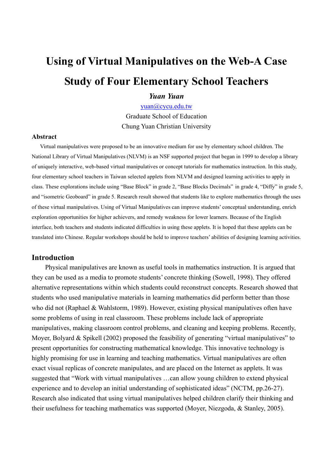# Using of Virtual Manipulatives on the Web-A Case Study of Four Elementary School Teachers

# Yuan Yuan

yuan@cycu.edu.tw Graduate School of Education Chung Yuan Christian University

#### Abstract

Virtual manipulatives were proposed to be an innovative medium for use by elementary school children. The National Library of Virtual Manipulatives (NLVM) is an NSF supported project that began in 1999 to develop a library of uniquely interactive, web-based virtual manipulatives or concept tutorials for mathematics instruction. In this study, four elementary school teachers in Taiwan selected applets from NLVM and designed learning activities to apply in class. These explorations include using "Base Block" in grade 2, "Base Blocks Decimals" in grade 4, "Diffy" in grade 5, and "isometric Geoboard" in grade 5. Research result showed that students like to explore mathematics through the uses of these virtual manipulatives. Using of Virtual Manipulatives can improve students' conceptual understanding, enrich exploration opportunities for higher achievers, and remedy weakness for lower learners. Because of the English interface, both teachers and students indicated difficulties in using these applets. It is hoped that these applets can be translated into Chinese. Regular workshops should be held to improve teachers' abilities of designing learning activities.

## Introduction

Physical manipulatives are known as useful tools in mathematics instruction. It is argued that they can be used as a media to promote students' concrete thinking (Sowell, 1998). They offered alternative representations within which students could reconstruct concepts. Research showed that students who used manipulative materials in learning mathematics did perform better than those who did not (Raphael & Wahlstorm, 1989). However, existing physical manipulatives often have some problems of using in real classroom. These problems include lack of appropriate manipulatives, making classroom control problems, and cleaning and keeping problems. Recently, Moyer, Bolyard & Spikell (2002) proposed the feasibility of generating "virtual manipulatives" to present opportunities for constructing mathematical knowledge. This innovative technology is highly promising for use in learning and teaching mathematics. Virtual manipulatives are often exact visual replicas of concrete manipulates, and are placed on the Internet as applets. It was suggested that "Work with virtual manipulatives …can allow young children to extend physical experience and to develop an initial understanding of sophisticated ideas" (NCTM, pp.26-27). Research also indicated that using virtual manipulatives helped children clarify their thinking and their usefulness for teaching mathematics was supported (Moyer, Niezgoda, & Stanley, 2005).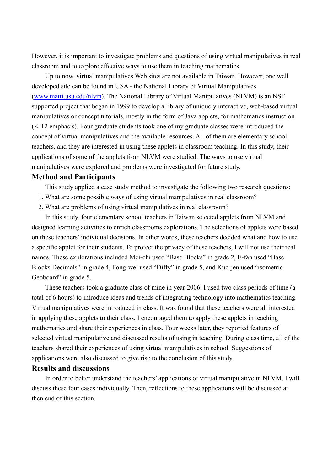However, it is important to investigate problems and questions of using virtual manipulatives in real classroom and to explore effective ways to use them in teaching mathematics.

Up to now, virtual manipulatives Web sites are not available in Taiwan. However, one well developed site can be found in USA - the National Library of Virtual Manipulatives (www.matti.usu.edu/nlvm). The National Library of Virtual Manipulatives (NLVM) is an NSF supported project that began in 1999 to develop a library of uniquely interactive, web-based virtual manipulatives or concept tutorials, mostly in the form of Java applets, for mathematics instruction (K-12 emphasis). Four graduate students took one of my graduate classes were introduced the concept of virtual manipulatives and the available resources. All of them are elementary school teachers, and they are interested in using these applets in classroom teaching. In this study, their applications of some of the applets from NLVM were studied. The ways to use virtual manipulatives were explored and problems were investigated for future study.

# Method and Participants

This study applied a case study method to investigate the following two research questions:

- 1. What are some possible ways of using virtual manipulatives in real classroom?
- 2. What are problems of using virtual manipulatives in real classroom?

In this study, four elementary school teachers in Taiwan selected applets from NLVM and designed learning activities to enrich classrooms explorations. The selections of applets were based on these teachers' individual decisions. In other words, these teachers decided what and how to use a specific applet for their students. To protect the privacy of these teachers, I will not use their real names. These explorations included Mei-chi used "Base Blocks" in grade 2, E-fan used "Base Blocks Decimals" in grade 4, Fong-wei used "Diffy" in grade 5, and Kuo-jen used "isometric Geoboard" in grade 5.

These teachers took a graduate class of mine in year 2006. I used two class periods of time (a total of 6 hours) to introduce ideas and trends of integrating technology into mathematics teaching. Virtual manipulatives were introduced in class. It was found that these teachers were all interested in applying these applets to their class. I encouraged them to apply these applets in teaching mathematics and share their experiences in class. Four weeks later, they reported features of selected virtual manipulative and discussed results of using in teaching. During class time, all of the teachers shared their experiences of using virtual manipulatives in school. Suggestions of applications were also discussed to give rise to the conclusion of this study.

## Results and discussions

In order to better understand the teachers' applications of virtual manipulative in NLVM, I will discuss these four cases individually. Then, reflections to these applications will be discussed at then end of this section.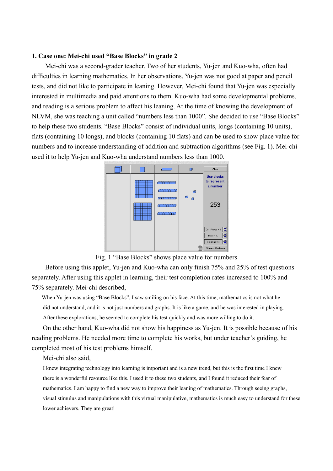#### 1. Case one: Mei-chi used "Base Blocks" in grade 2

 Mei-chi was a second-grader teacher. Two of her students, Yu-jen and Kuo-wha, often had difficulties in learning mathematics. In her observations, Yu-jen was not good at paper and pencil tests, and did not like to participate in leaning. However, Mei-chi found that Yu-jen was especially interested in multimedia and paid attentions to them. Kuo-wha had some developmental problems, and reading is a serious problem to affect his leaning. At the time of knowing the development of NLVM, she was teaching a unit called "numbers less than 1000". She decided to use "Base Blocks" to help these two students. "Base Blocks" consist of individual units, longs (containing 10 units), flats (containing 10 longs), and blocks (containing 10 flats) and can be used to show place value for numbers and to increase understanding of addition and subtraction algorithms (see Fig. 1). Mei-chi used it to help Yu-jen and Kuo-wha understand numbers less than 1000.



Fig. 1 "Base Blocks" shows place value for numbers

 Before using this applet, Yu-jen and Kuo-wha can only finish 75% and 25% of test questions separately. After using this applet in learning, their test completion rates increased to 100% and 75% separately. Mei-chi described,

 When Yu-jen was using "Base Blocks", I saw smiling on his face. At this time, mathematics is not what he did not understand, and it is not just numbers and graphs. It is like a game, and he was interested in playing. After these explorations, he seemed to complete his test quickly and was more willing to do it.

On the other hand, Kuo-wha did not show his happiness as Yu-jen. It is possible because of his reading problems. He needed more time to complete his works, but under teacher's guiding, he completed most of his test problems himself.

Mei-chi also said,

I knew integrating technology into learning is important and is a new trend, but this is the first time I knew there is a wonderful resource like this. I used it to these two students, and I found it reduced their fear of mathematics. I am happy to find a new way to improve their leaning of mathematics. Through seeing graphs, visual stimulus and manipulations with this virtual manipulative, mathematics is much easy to understand for these lower achievers. They are great!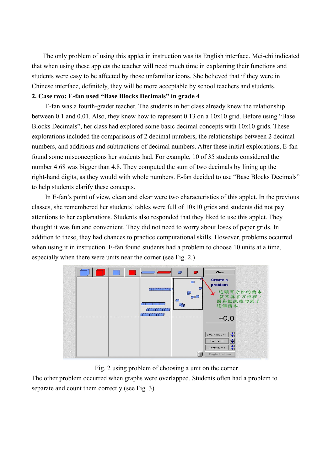The only problem of using this applet in instruction was its English interface. Mei-chi indicated that when using these applets the teacher will need much time in explaining their functions and students were easy to be affected by those unfamiliar icons. She believed that if they were in Chinese interface, definitely, they will be more acceptable by school teachers and students.

## 2. Case two: E-fan used "Base Blocks Decimals" in grade 4

 E-fan was a fourth-grader teacher. The students in her class already knew the relationship between 0.1 and 0.01. Also, they knew how to represent 0.13 on a 10x10 grid. Before using "Base Blocks Decimals", her class had explored some basic decimal concepts with 10x10 grids. These explorations included the comparisons of 2 decimal numbers, the relationships between 2 decimal numbers, and additions and subtractions of decimal numbers. After these initial explorations, E-fan found some misconceptions her students had. For example, 10 of 35 students considered the number 4.68 was bigger than 4.8. They computed the sum of two decimals by lining up the right-hand digits, as they would with whole numbers. E-fan decided to use "Base Blocks Decimals" to help students clarify these concepts.

 In E-fan's point of view, clean and clear were two characteristics of this applet. In the previous classes, she remembered her students' tables were full of 10x10 grids and students did not pay attentions to her explanations. Students also responded that they liked to use this applet. They thought it was fun and convenient. They did not need to worry about loses of paper grids. In addition to these, they had chances to practice computational skills. However, problems occurred when using it in instruction. E-fan found students had a problem to choose 10 units at a time, especially when there were units near the corner (see Fig. 2.)



## Fig. 2 using problem of choosing a unit on the corner

The other problem occurred when graphs were overlapped. Students often had a problem to separate and count them correctly (see Fig. 3).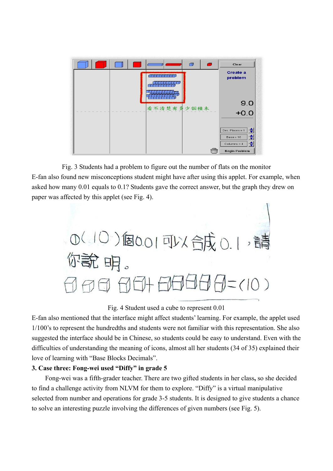

Fig. 3 Students had a problem to figure out the number of flats on the monitor E-fan also found new misconceptions student might have after using this applet. For example, when asked how many 0.01 equals to 0.1? Students gave the correct answer, but the graph they drew on paper was affected by this applet (see Fig. 4).



#### Fig. 4 Student used a cube to represent 0.01

E-fan also mentioned that the interface might affect students' learning. For example, the applet used 1/100's to represent the hundredths and students were not familiar with this representation. She also suggested the interface should be in Chinese, so students could be easy to understand. Even with the difficulties of understanding the meaning of icons, almost all her students (34 of 35) explained their love of learning with "Base Blocks Decimals".

## 3. Case three: Fong-wei used "Diffy" in grade 5

Fong-wei was a fifth-grader teacher. There are two gifted students in her class, so she decided to find a challenge activity from NLVM for them to explore. "Diffy" is a virtual manipulative selected from number and operations for grade 3-5 students. It is designed to give students a chance to solve an interesting puzzle involving the differences of given numbers (see Fig. 5).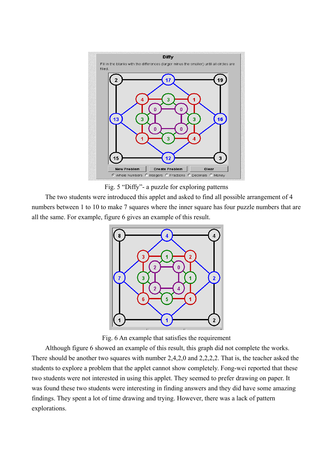

Fig. 5 "Diffy"- a puzzle for exploring patterns

The two students were introduced this applet and asked to find all possible arrangement of 4 numbers between 1 to 10 to make 7 squares where the inner square has four puzzle numbers that are all the same. For example, figure 6 gives an example of this result.



Fig. 6 An example that satisfies the requirement

Although figure 6 showed an example of this result, this graph did not complete the works. There should be another two squares with number 2,4,2,0 and 2,2,2,2. That is, the teacher asked the students to explore a problem that the applet cannot show completely. Fong-wei reported that these two students were not interested in using this applet. They seemed to prefer drawing on paper. It was found these two students were interesting in finding answers and they did have some amazing findings. They spent a lot of time drawing and trying. However, there was a lack of pattern explorations.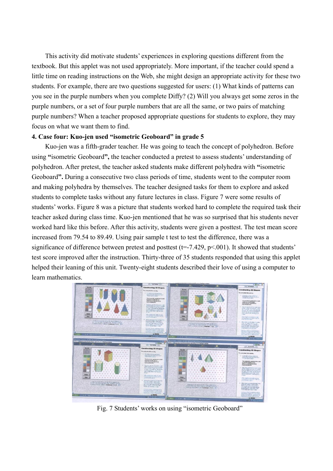This activity did motivate students' experiences in exploring questions different from the textbook. But this applet was not used appropriately. More important, if the teacher could spend a little time on reading instructions on the Web, she might design an appropriate activity for these two students. For example, there are two questions suggested for users: (1) What kinds of patterns can you see in the purple numbers when you complete Diffy? (2) Will you always get some zeros in the purple numbers, or a set of four purple numbers that are all the same, or two pairs of matching purple numbers? When a teacher proposed appropriate questions for students to explore, they may focus on what we want them to find.

## 4. Case four: Kuo-jen used "isometric Geoboard" in grade 5

Kuo-jen was a fifth-grader teacher. He was going to teach the concept of polyhedron. Before using "isometric Geoboard", the teacher conducted a pretest to assess students' understanding of polyhedron. After pretest, the teacher asked students make different polyhedra with "isometric Geoboard". During a consecutive two class periods of time, students went to the computer room and making polyhedra by themselves. The teacher designed tasks for them to explore and asked students to complete tasks without any future lectures in class. Figure 7 were some results of students' works. Figure 8 was a picture that students worked hard to complete the required task their teacher asked during class time. Kuo-jen mentioned that he was so surprised that his students never worked hard like this before. After this activity, students were given a posttest. The test mean score increased from 79.54 to 89.49. Using pair sample t test to test the difference, there was a significance of difference between pretest and posttest ( $t=-7.429$ ,  $p<.001$ ). It showed that students' test score improved after the instruction. Thirty-three of 35 students responded that using this applet helped their leaning of this unit. Twenty-eight students described their love of using a computer to learn mathematics.



Fig. 7 Students' works on using "isometric Geoboard"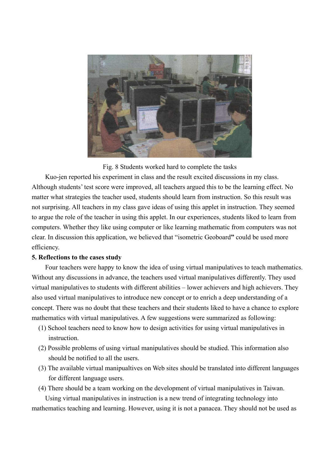

Fig. 8 Students worked hard to complete the tasks

Kuo-jen reported his experiment in class and the result excited discussions in my class. Although students' test score were improved, all teachers argued this to be the learning effect. No matter what strategies the teacher used, students should learn from instruction. So this result was not surprising. All teachers in my class gave ideas of using this applet in instruction. They seemed to argue the role of the teacher in using this applet. In our experiences, students liked to learn from computers. Whether they like using computer or like learning mathematic from computers was not clear. In discussion this application, we believed that "isometric Geoboard" could be used more efficiency.

## 5. Reflections to the cases study

Four teachers were happy to know the idea of using virtual manipulatives to teach mathematics. Without any discussions in advance, the teachers used virtual manipulatives differently. They used virtual manipulatives to students with different abilities – lower achievers and high achievers. They also used virtual manipulatives to introduce new concept or to enrich a deep understanding of a concept. There was no doubt that these teachers and their students liked to have a chance to explore mathematics with virtual manipulatives. A few suggestions were summarized as following:

- (1) School teachers need to know how to design activities for using virtual manipulatives in instruction.
- (2) Possible problems of using virtual manipulatives should be studied. This information also should be notified to all the users.
- (3) The available virtual manipualtives on Web sites should be translated into different languages for different language users.
- (4) There should be a team working on the development of virtual manipulatives in Taiwan.

Using virtual manipulatives in instruction is a new trend of integrating technology into mathematics teaching and learning. However, using it is not a panacea. They should not be used as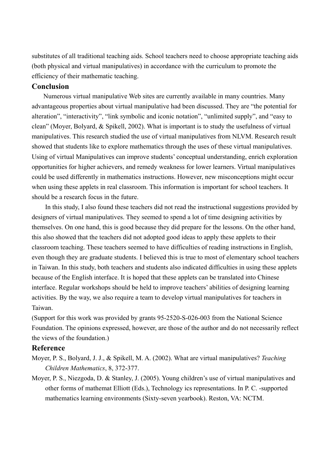substitutes of all traditional teaching aids. School teachers need to choose appropriate teaching aids (both physical and virtual manipulatives) in accordance with the curriculum to promote the efficiency of their mathematic teaching.

# Conclusion

Numerous virtual manipulative Web sites are currently available in many countries. Many advantageous properties about virtual manipulative had been discussed. They are "the potential for alteration", "interactivity", "link symbolic and iconic notation", "unlimited supply", and "easy to clean" (Moyer, Bolyard, & Spikell, 2002). What is important is to study the usefulness of virtual manipulatives. This research studied the use of virtual manipulatives from NLVM. Research result showed that students like to explore mathematics through the uses of these virtual manipulatives. Using of virtual Manipulatives can improve students' conceptual understanding, enrich exploration opportunities for higher achievers, and remedy weakness for lower learners. Virtual manipulatives could be used differently in mathematics instructions. However, new misconceptions might occur when using these applets in real classroom. This information is important for school teachers. It should be a research focus in the future.

In this study, I also found these teachers did not read the instructional suggestions provided by designers of virtual manipulatives. They seemed to spend a lot of time designing activities by themselves. On one hand, this is good because they did prepare for the lessons. On the other hand, this also showed that the teachers did not adopted good ideas to apply these applets to their classroom teaching. These teachers seemed to have difficulties of reading instructions in English, even though they are graduate students. I believed this is true to most of elementary school teachers in Taiwan. In this study, both teachers and students also indicated difficulties in using these applets because of the English interface. It is hoped that these applets can be translated into Chinese interface. Regular workshops should be held to improve teachers' abilities of designing learning activities. By the way, we also require a team to develop virtual manipulatives for teachers in Taiwan.

(Support for this work was provided by grants 95-2520-S-026-003 from the National Science Foundation. The opinions expressed, however, are those of the author and do not necessarily reflect the views of the foundation.)

# Reference

- Moyer, P. S., Bolyard, J. J., & Spikell, M. A. (2002). What are virtual manipulatives? Teaching Children Mathematics, 8, 372-377.
- Moyer, P. S., Niezgoda, D. & Stanley, J. (2005). Young children's use of virtual manipulatives and other forms of mathemat Elliott (Eds.), Technology ics representations. In P. C. -supported mathematics learning environments (Sixty-seven yearbook). Reston, VA: NCTM.